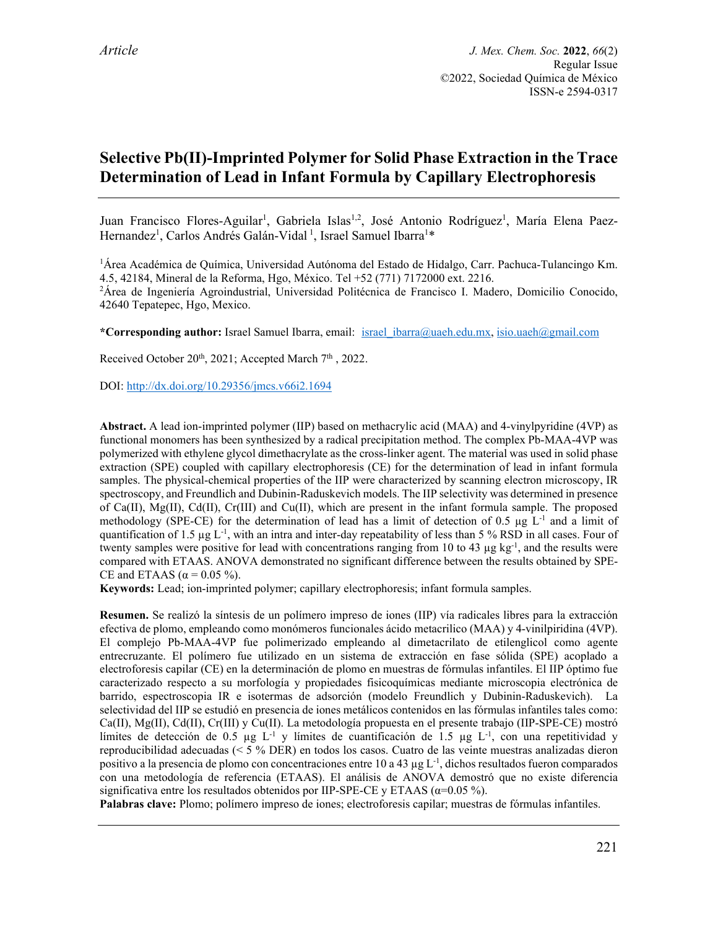# **Selective Pb(II)-Imprinted Polymer for Solid Phase Extraction in the Trace Determination of Lead in Infant Formula by Capillary Electrophoresis**

Juan Francisco Flores-Aguilar<sup>1</sup>, Gabriela Islas<sup>1,2</sup>, José Antonio Rodríguez<sup>1</sup>, María Elena Paez-Hernandez<sup>1</sup>, Carlos Andrés Galán-Vidal<sup>1</sup>, Israel Samuel Ibarra<sup>1\*</sup>

<sup>1</sup>Área Académica de Química, Universidad Autónoma del Estado de Hidalgo, Carr. Pachuca-Tulancingo Km. 4.5, 42184, Mineral de la Reforma, Hgo, México. Tel +52 (771) 7172000 ext. 2216.

2 Área de Ingeniería Agroindustrial, Universidad Politécnica de Francisco I. Madero, Domicilio Conocido, 42640 Tepatepec, Hgo, Mexico.

**\*Corresponding author:** Israel Samuel Ibarra, email: [israel\\_ibarra@uaeh.edu.mx,](mailto:israel_ibarra@uaeh.edu.mx) [isio.uaeh@gmail.com](mailto:isio.uaeh@gmail.com)

Received October  $20<sup>th</sup>$ ,  $2021$ ; Accepted March  $7<sup>th</sup>$ ,  $2022$ .

DOI:<http://dx.doi.org/10.29356/jmcs.v66i2.1694>

**Abstract.** A lead ion-imprinted polymer (IIP) based on methacrylic acid (MAA) and 4-vinylpyridine (4VP) as functional monomers has been synthesized by a radical precipitation method. The complex Pb-MAA-4VP was polymerized with ethylene glycol dimethacrylate as the cross-linker agent. The material was used in solid phase extraction (SPE) coupled with capillary electrophoresis (CE) for the determination of lead in infant formula samples. The physical-chemical properties of the IIP were characterized by scanning electron microscopy, IR spectroscopy, and Freundlich and Dubinin-Raduskevich models. The IIP selectivity was determined in presence of Ca(II), Mg(II), Cd(II), Cr(III) and Cu(II), which are present in the infant formula sample. The proposed methodology (SPE-CE) for the determination of lead has a limit of detection of 0.5  $\mu$ g L<sup>-1</sup> and a limit of quantification of 1.5  $\mu$ g L<sup>-1</sup>, with an intra and inter-day repeatability of less than 5 % RSD in all cases. Four of twenty samples were positive for lead with concentrations ranging from 10 to 43  $\mu$ g kg<sup>-1</sup>, and the results were compared with ETAAS. ANOVA demonstrated no significant difference between the results obtained by SPE-CE and ETAAS ( $\alpha$  = 0.05 %).

**Keywords:** Lead; ion-imprinted polymer; capillary electrophoresis; infant formula samples.

**Resumen.** Se realizó la síntesis de un polímero impreso de iones (IIP) vía radicales libres para la extracción efectiva de plomo, empleando como monómeros funcionales ácido metacrilico (MAA) y 4-vinilpiridina (4VP). El complejo Pb-MAA-4VP fue polimerizado empleando al dimetacrilato de etilenglicol como agente entrecruzante. El polímero fue utilizado en un sistema de extracción en fase sólida (SPE) acoplado a electroforesis capilar (CE) en la determinación de plomo en muestras de fórmulas infantiles. El IIP óptimo fue caracterizado respecto a su morfología y propiedades fisicoquímicas mediante microscopia electrónica de barrido, espectroscopia IR e isotermas de adsorción (modelo Freundlich y Dubinin-Raduskevich). La selectividad del IIP se estudió en presencia de iones metálicos contenidos en las fórmulas infantiles tales como: Ca(II), Mg(II), Cd(II), Cr(III) y Cu(II). La metodología propuesta en el presente trabajo (IIP-SPE-CE) mostró límites de detección de 0.5 µg L<sup>-1</sup> y límites de cuantificación de 1.5 µg L<sup>-1</sup>, con una repetitividad y reproducibilidad adecuadas (< 5 % DER) en todos los casos. Cuatro de las veinte muestras analizadas dieron positivo a la presencia de plomo con concentraciones entre 10 a 43 µg L-1, dichos resultados fueron comparados con una metodología de referencia (ETAAS). El análisis de ANOVA demostró que no existe diferencia significativa entre los resultados obtenidos por IIP-SPE-CE y ETAAS ( $\alpha$ =0.05 %).

**Palabras clave:** Plomo; polímero impreso de iones; electroforesis capilar; muestras de fórmulas infantiles.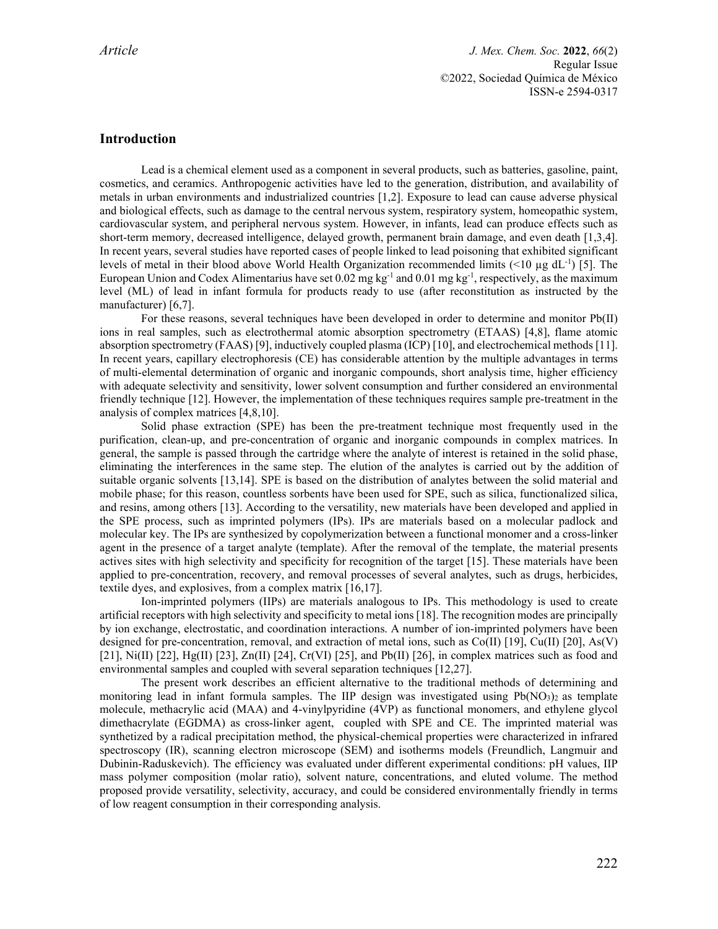*Article J. Mex. Chem. Soc.* **2022**, *66*(2) Regular Issue ©2022, Sociedad Química de México ISSN-e 2594-0317

# **Introduction**

Lead is a chemical element used as a component in several products, such as batteries, gasoline, paint, cosmetics, and ceramics. Anthropogenic activities have led to the generation, distribution, and availability of metals in urban environments and industrialized countries [1,2]. Exposure to lead can cause adverse physical and biological effects, such as damage to the central nervous system, respiratory system, homeopathic system, cardiovascular system, and peripheral nervous system. However, in infants, lead can produce effects such as short-term memory, decreased intelligence, delayed growth, permanent brain damage, and even death [1,3,4]. In recent years, several studies have reported cases of people linked to lead poisoning that exhibited significant levels of metal in their blood above World Health Organization recommended limits  $\left($  <10 µg dL<sup>-1</sup>) [5]. The European Union and Codex Alimentarius have set 0.02 mg kg<sup>-1</sup> and 0.01 mg kg<sup>-1</sup>, respectively, as the maximum level (ML) of lead in infant formula for products ready to use (after reconstitution as instructed by the manufacturer) [6,7].

For these reasons, several techniques have been developed in order to determine and monitor Pb(II) ions in real samples, such as electrothermal atomic absorption spectrometry (ETAAS) [4,8], flame atomic absorption spectrometry (FAAS) [9], inductively coupled plasma (ICP) [10], and electrochemical methods [11]. In recent years, capillary electrophoresis (CE) has considerable attention by the multiple advantages in terms of multi-elemental determination of organic and inorganic compounds, short analysis time, higher efficiency with adequate selectivity and sensitivity, lower solvent consumption and further considered an environmental friendly technique [12]. However, the implementation of these techniques requires sample pre-treatment in the analysis of complex matrices [4,8,10].

Solid phase extraction (SPE) has been the pre-treatment technique most frequently used in the purification, clean-up, and pre-concentration of organic and inorganic compounds in complex matrices. In general, the sample is passed through the cartridge where the analyte of interest is retained in the solid phase, eliminating the interferences in the same step. The elution of the analytes is carried out by the addition of suitable organic solvents [13,14]. SPE is based on the distribution of analytes between the solid material and mobile phase; for this reason, countless sorbents have been used for SPE, such as silica, functionalized silica, and resins, among others [13]. According to the versatility, new materials have been developed and applied in the SPE process, such as imprinted polymers (IPs). IPs are materials based on a molecular padlock and molecular key. The IPs are synthesized by copolymerization between a functional monomer and a cross-linker agent in the presence of a target analyte (template). After the removal of the template, the material presents actives sites with high selectivity and specificity for recognition of the target [15]. These materials have been applied to pre-concentration, recovery, and removal processes of several analytes, such as drugs, herbicides, textile dyes, and explosives, from a complex matrix [16,17].

Ion-imprinted polymers (IIPs) are materials analogous to IPs. This methodology is used to create artificial receptors with high selectivity and specificity to metal ions [18]. The recognition modes are principally by ion exchange, electrostatic, and coordination interactions. A number of ion-imprinted polymers have been designed for pre-concentration, removal, and extraction of metal ions, such as Co(II) [19], Cu(II) [20], As(V) [21], Ni(II) [22], Hg(II) [23], Zn(II) [24], Cr(VI) [25], and Pb(II) [26], in complex matrices such as food and environmental samples and coupled with several separation techniques [12,27].

The present work describes an efficient alternative to the traditional methods of determining and monitoring lead in infant formula samples. The IIP design was investigated using  $Pb(NO<sub>3</sub>)<sub>2</sub>$  as template molecule, methacrylic acid (MAA) and 4-vinylpyridine (4VP) as functional monomers, and ethylene glycol dimethacrylate (EGDMA) as cross-linker agent, coupled with SPE and CE. The imprinted material was synthetized by a radical precipitation method, the physical-chemical properties were characterized in infrared spectroscopy (IR), scanning electron microscope (SEM) and isotherms models (Freundlich, Langmuir and Dubinin-Raduskevich). The efficiency was evaluated under different experimental conditions: pH values, IIP mass polymer composition (molar ratio), solvent nature, concentrations, and eluted volume. The method proposed provide versatility, selectivity, accuracy, and could be considered environmentally friendly in terms of low reagent consumption in their corresponding analysis.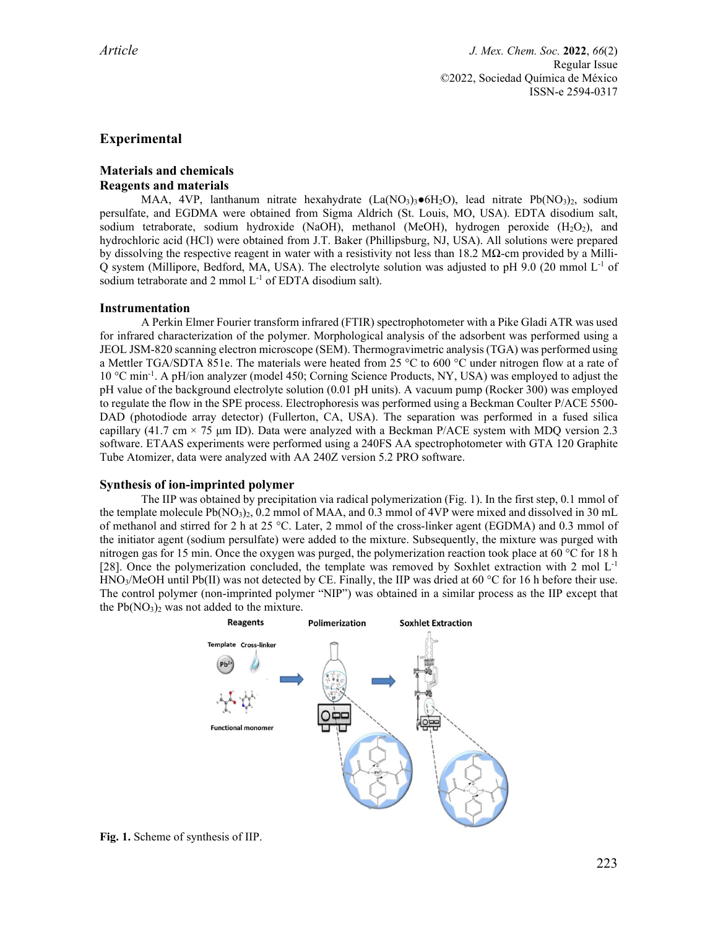# **Experimental**

# **Materials and chemicals Reagents and materials**

MAA, 4VP, lanthanum nitrate hexahydrate  $(La(NO<sub>3</sub>)<sub>3</sub>•6H<sub>2</sub>O)$ , lead nitrate Pb $(NO<sub>3</sub>)<sub>2</sub>$ , sodium persulfate, and EGDMA were obtained from Sigma Aldrich (St. Louis, MO, USA). EDTA disodium salt, sodium tetraborate, sodium hydroxide (NaOH), methanol (MeOH), hydrogen peroxide (H<sub>2</sub>O<sub>2</sub>), and hydrochloric acid (HCl) were obtained from J.T. Baker (Phillipsburg, NJ, USA). All solutions were prepared by dissolving the respective reagent in water with a resistivity not less than 18.2 MΩ-cm provided by a Milli-Q system (Millipore, Bedford, MA, USA). The electrolyte solution was adjusted to pH 9.0 (20 mmol  $L<sup>-1</sup>$  of sodium tetraborate and 2 mmol  $L^{-1}$  of EDTA disodium salt).

### **Instrumentation**

A Perkin Elmer Fourier transform infrared (FTIR) spectrophotometer with a Pike Gladi ATR was used for infrared characterization of the polymer. Morphological analysis of the adsorbent was performed using a JEOL JSM-820 scanning electron microscope (SEM). Thermogravimetric analysis (TGA) was performed using a Mettler TGA/SDTA 851e. The materials were heated from 25 °C to 600 °C under nitrogen flow at a rate of 10 °C min-1. A pH/ion analyzer (model 450; Corning Science Products, NY, USA) was employed to adjust the pH value of the background electrolyte solution (0.01 pH units). A vacuum pump (Rocker 300) was employed to regulate the flow in the SPE process. Electrophoresis was performed using a Beckman Coulter P/ACE 5500- DAD (photodiode array detector) (Fullerton, CA, USA). The separation was performed in a fused silica capillary (41.7 cm  $\times$  75 µm ID). Data were analyzed with a Beckman P/ACE system with MDQ version 2.3 software. ETAAS experiments were performed using a 240FS AA spectrophotometer with GTA 120 Graphite Tube Atomizer, data were analyzed with AA 240Z version 5.2 PRO software.

### **Synthesis of ion-imprinted polymer**

The IIP was obtained by precipitation via radical polymerization (Fig. 1). In the first step, 0.1 mmol of the template molecule  $Pb(NO_3)_2$ , 0.2 mmol of MAA, and 0.3 mmol of 4VP were mixed and dissolved in 30 mL of methanol and stirred for 2 h at 25 °C. Later, 2 mmol of the cross-linker agent (EGDMA) and 0.3 mmol of the initiator agent (sodium persulfate) were added to the mixture. Subsequently, the mixture was purged with nitrogen gas for 15 min. Once the oxygen was purged, the polymerization reaction took place at 60 °C for 18 h [28]. Once the polymerization concluded, the template was removed by Soxhlet extraction with 2 mol  $L<sup>-1</sup>$ HNO<sub>3</sub>/MeOH until Pb(II) was not detected by CE. Finally, the IIP was dried at 60 °C for 16 h before their use. The control polymer (non-imprinted polymer "NIP") was obtained in a similar process as the IIP except that the  $Pb(NO<sub>3</sub>)<sub>2</sub>$  was not added to the mixture.

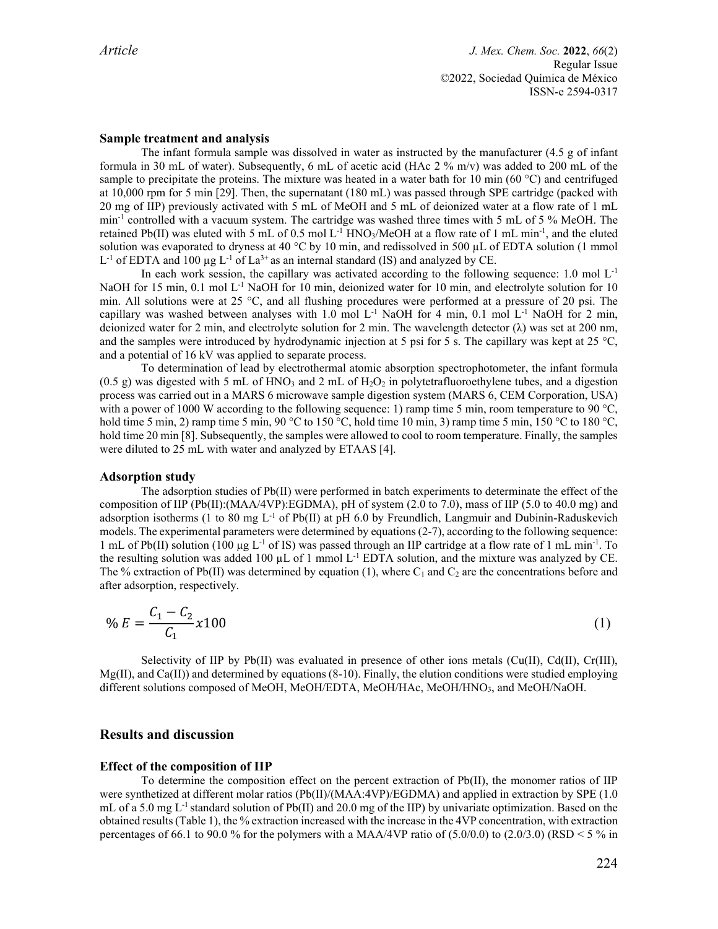#### **Sample treatment and analysis**

The infant formula sample was dissolved in water as instructed by the manufacturer (4.5 g of infant formula in 30 mL of water). Subsequently, 6 mL of acetic acid (HAc 2 % m/v) was added to 200 mL of the sample to precipitate the proteins. The mixture was heated in a water bath for 10 min  $(60 \degree C)$  and centrifuged at 10,000 rpm for 5 min [29]. Then, the supernatant (180 mL) was passed through SPE cartridge (packed with 20 mg of IIP) previously activated with 5 mL of MeOH and 5 mL of deionized water at a flow rate of 1 mL min-1 controlled with a vacuum system. The cartridge was washed three times with 5 mL of 5 % MeOH. The retained Pb(II) was eluted with 5 mL of 0.5 mol  $L^{-1}$  HNO<sub>3</sub>/MeOH at a flow rate of 1 mL min<sup>-1</sup>, and the eluted solution was evaporated to dryness at 40 °C by 10 min, and redissolved in 500 µL of EDTA solution (1 mmol  $L^{-1}$  of EDTA and 100 µg  $L^{-1}$  of  $La^{3+}$  as an internal standard (IS) and analyzed by CE.

In each work session, the capillary was activated according to the following sequence:  $1.0 \text{ mol L}^{-1}$ NaOH for 15 min, 0.1 mol L<sup>-1</sup> NaOH for 10 min, deionized water for 10 min, and electrolyte solution for 10 min. All solutions were at 25 °C, and all flushing procedures were performed at a pressure of 20 psi. The capillary was washed between analyses with 1.0 mol  $L^{-1}$  NaOH for 4 min, 0.1 mol  $L^{-1}$  NaOH for 2 min, deionized water for 2 min, and electrolyte solution for 2 min. The wavelength detector  $(\lambda)$  was set at 200 nm, and the samples were introduced by hydrodynamic injection at 5 psi for 5 s. The capillary was kept at 25 °C, and a potential of 16 kV was applied to separate process.

To determination of lead by electrothermal atomic absorption spectrophotometer, the infant formula (0.5 g) was digested with 5 mL of HNO<sub>3</sub> and 2 mL of H<sub>2</sub>O<sub>2</sub> in polytetrafluoroethylene tubes, and a digestion process was carried out in a MARS 6 microwave sample digestion system (MARS 6, CEM Corporation, USA) with a power of 1000 W according to the following sequence: 1) ramp time 5 min, room temperature to 90 °C, hold time 5 min, 2) ramp time 5 min, 90 °C to 150 °C, hold time 10 min, 3) ramp time 5 min, 150 °C to 180 °C, hold time 20 min [8]. Subsequently, the samples were allowed to cool to room temperature. Finally, the samples were diluted to 25 mL with water and analyzed by ETAAS [4].

#### **Adsorption study**

The adsorption studies of Pb(II) were performed in batch experiments to determinate the effect of the composition of IIP (Pb(II):(MAA/4VP):EGDMA), pH of system (2.0 to 7.0), mass of IIP (5.0 to 40.0 mg) and adsorption isotherms (1 to 80 mg L<sup>-1</sup> of Pb(II) at pH 6.0 by Freundlich, Langmuir and Dubinin-Raduskevich models. The experimental parameters were determined by equations (2-7), according to the following sequence: 1 mL of Pb(II) solution (100 µg L<sup>-1</sup> of IS) was passed through an IIP cartridge at a flow rate of 1 mL min<sup>-1</sup>. To the resulting solution was added 100  $\mu$ L of 1 mmol L<sup>-1</sup> EDTA solution, and the mixture was analyzed by CE. The % extraction of Pb(II) was determined by equation (1), where  $C_1$  and  $C_2$  are the concentrations before and after adsorption, respectively.

$$
\% E = \frac{C_1 - C_2}{C_1} x 100 \tag{1}
$$

Selectivity of IIP by Pb(II) was evaluated in presence of other ions metals ( $Cu(II)$ ,  $Cd(II)$ ,  $Cr(III)$ ,  $Mg(II)$ , and Ca $(II)$ ) and determined by equations (8-10). Finally, the elution conditions were studied employing different solutions composed of MeOH, MeOH/EDTA, MeOH/HAc, MeOH/HNO3, and MeOH/NaOH.

# **Results and discussion**

#### **Effect of the composition of IIP**

To determine the composition effect on the percent extraction of Pb(II), the monomer ratios of IIP were synthetized at different molar ratios (Pb(II)/(MAA:4VP)/EGDMA) and applied in extraction by SPE (1.0 mL of a 5.0 mg  $L^{-1}$  standard solution of Pb(II) and 20.0 mg of the IIP) by univariate optimization. Based on the obtained results (Table 1), the % extraction increased with the increase in the 4VP concentration, with extraction percentages of 66.1 to 90.0 % for the polymers with a MAA/4VP ratio of (5.0/0.0) to (2.0/3.0) (RSD < 5 % in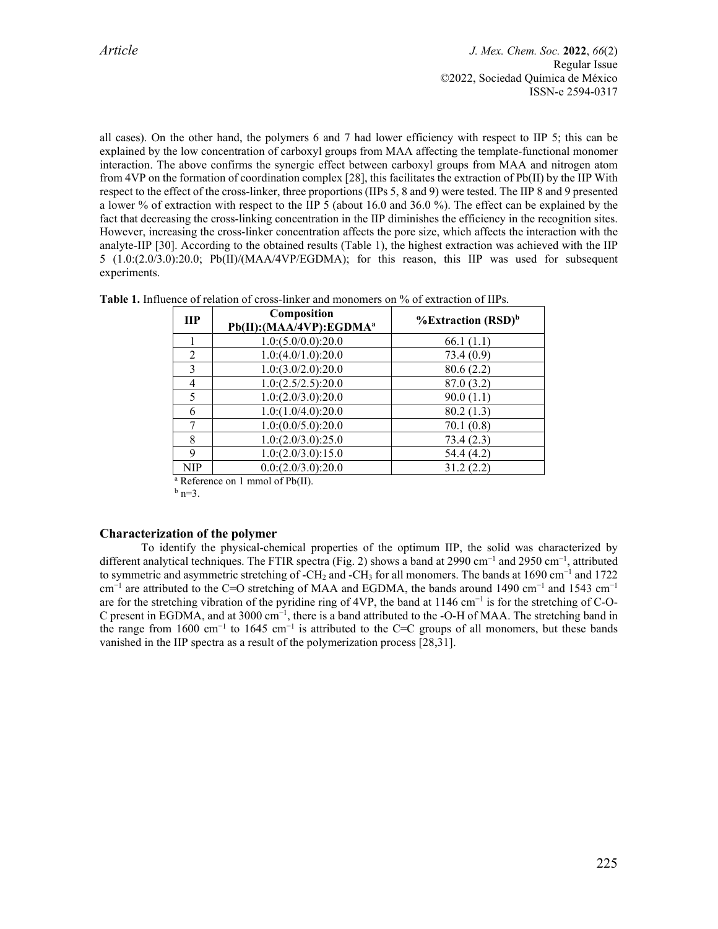all cases). On the other hand, the polymers 6 and 7 had lower efficiency with respect to IIP 5; this can be explained by the low concentration of carboxyl groups from MAA affecting the template-functional monomer interaction. The above confirms the synergic effect between carboxyl groups from MAA and nitrogen atom from 4VP on the formation of coordination complex [28], this facilitates the extraction of Pb(II) by the IIP With respect to the effect of the cross-linker, three proportions (IIPs 5, 8 and 9) were tested. The IIP 8 and 9 presented a lower % of extraction with respect to the IIP 5 (about 16.0 and 36.0 %). The effect can be explained by the fact that decreasing the cross-linking concentration in the IIP diminishes the efficiency in the recognition sites. However, increasing the cross-linker concentration affects the pore size, which affects the interaction with the analyte-IIP [30]. According to the obtained results (Table 1), the highest extraction was achieved with the IIP 5 (1.0:(2.0/3.0):20.0; Pb(II)/(MAA/4VP/EGDMA); for this reason, this IIP was used for subsequent experiments.

| $\mathbf{H}$   | Composition<br>Pb(II):(MAA/4VP):EGDMA <sup>a</sup>       | $%$ Extraction (RSD) <sup>b</sup> |
|----------------|----------------------------------------------------------|-----------------------------------|
|                | 1.0:(5.0/0.0):20.0                                       | 66.1(1.1)                         |
| $\overline{2}$ | 1.0:(4.0/1.0):20.0                                       | 73.4(0.9)                         |
| $\mathcal{E}$  | 1.0:(3.0/2.0):20.0                                       | 80.6(2.2)                         |
| 4              | 1.0:(2.5/2.5):20.0                                       | 87.0(3.2)                         |
| 5              | 1.0:(2.0/3.0):20.0                                       | 90.0(1.1)                         |
| 6              | 1.0:(1.0/4.0):20.0                                       | 80.2(1.3)                         |
| 7              | 1.0:(0.0/5.0):20.0                                       | 70.1(0.8)                         |
| 8              | 1.0:(2.0/3.0):25.0                                       | 73.4(2.3)                         |
| 9              | 1.0:(2.0/3.0):15.0                                       | 54.4 (4.2)                        |
| <b>NIP</b>     | 0.0:(2.0/3.0):20.0                                       | 31.2(2.2)                         |
|                | $3.5.4$ $\ldots$ $\ldots$ $1.4$ $\ldots$ $1.45$ $\ldots$ |                                   |

| <b>Table 1.</b> Influence of relation of cross-linker and monomers on % of extraction of IIPs. |  |
|------------------------------------------------------------------------------------------------|--|
|------------------------------------------------------------------------------------------------|--|

Reference on 1 mmol of  $Pb(II)$ .

 $^{\rm b}$  n=3.

#### **Characterization of the polymer**

To identify the physical-chemical properties of the optimum IIP, the solid was characterized by different analytical techniques. The FTIR spectra (Fig. 2) shows a band at 2990 cm<sup>−</sup><sup>1</sup> and 2950 cm<sup>−</sup><sup>1</sup> , attributed to symmetric and asymmetric stretching of -CH2 and -CH3 for all monomers. The bands at 1690 cm<sup>−</sup><sup>1</sup> and 1722  $cm^{-1}$  are attributed to the C=O stretching of MAA and EGDMA, the bands around 1490 cm<sup>-1</sup> and 1543 cm<sup>-1</sup> are for the stretching vibration of the pyridine ring of 4VP, the band at 1146 cm<sup>−</sup><sup>1</sup> is for the stretching of C-O-C present in EGDMA, and at 3000 cm<sup>-1</sup>, there is a band attributed to the -O-H of MAA. The stretching band in the range from 1600 cm<sup>-1</sup> to 1645 cm<sup>-1</sup> is attributed to the C=C groups of all monomers, but these bands vanished in the IIP spectra as a result of the polymerization process [28,31].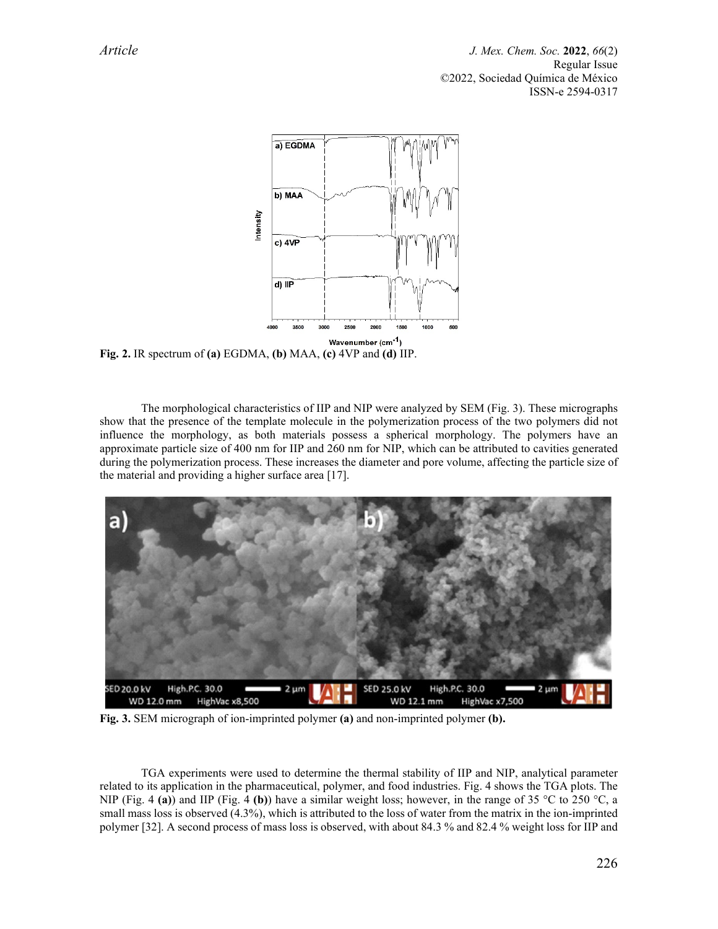*Article J. Mex. Chem. Soc.* **2022**, *66*(2) Regular Issue ©2022, Sociedad Química de México ISSN-e 2594-0317



**Fig. 2.** IR spectrum of **(a)** EGDMA, **(b)** MAA, **(c)** 4VP and **(d)** IIP.

The morphological characteristics of IIP and NIP were analyzed by SEM (Fig. 3). These micrographs show that the presence of the template molecule in the polymerization process of the two polymers did not influence the morphology, as both materials possess a spherical morphology. The polymers have an approximate particle size of 400 nm for IIP and 260 nm for NIP, which can be attributed to cavities generated during the polymerization process. These increases the diameter and pore volume, affecting the particle size of the material and providing a higher surface area [17].



**Fig. 3.** SEM micrograph of ion-imprinted polymer **(a)** and non-imprinted polymer **(b).**

TGA experiments were used to determine the thermal stability of IIP and NIP, analytical parameter related to its application in the pharmaceutical, polymer, and food industries. Fig. 4 shows the TGA plots. The NIP (Fig. 4 **(a)**) and IIP (Fig. 4 **(b)**) have a similar weight loss; however, in the range of 35 °C to 250 °C, a small mass loss is observed (4.3%), which is attributed to the loss of water from the matrix in the ion-imprinted polymer [32]. A second process of mass loss is observed, with about 84.3 % and 82.4 % weight loss for IIP and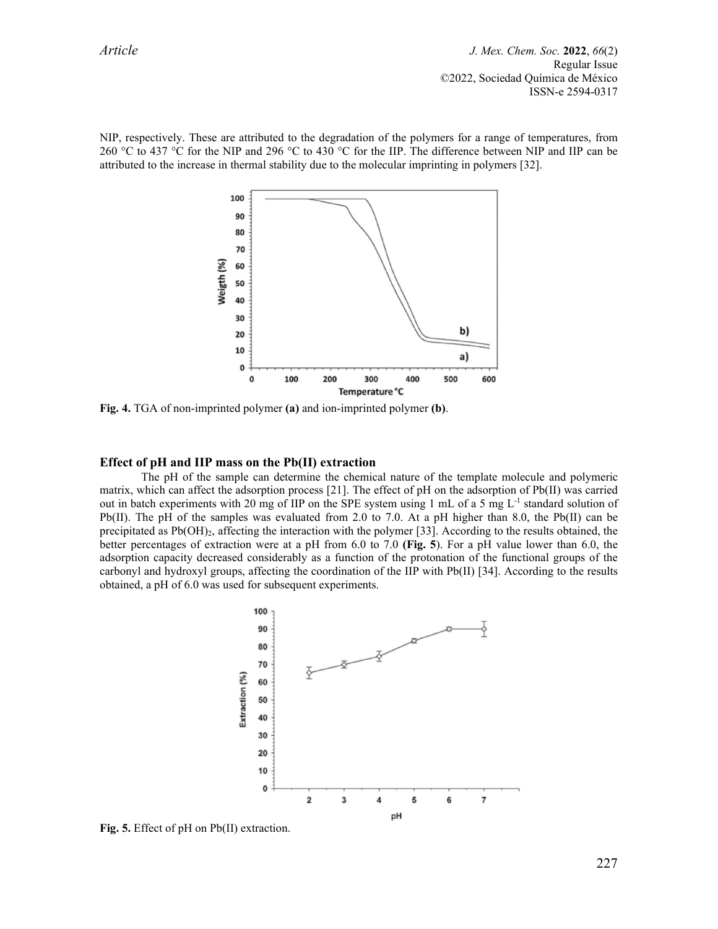*Article J. Mex. Chem. Soc.* **2022**, *66*(2) Regular Issue ©2022, Sociedad Química de México ISSN-e 2594-0317

NIP, respectively. These are attributed to the degradation of the polymers for a range of temperatures, from 260 °C to 437 °C for the NIP and 296 °C to 430 °C for the IIP. The difference between NIP and IIP can be attributed to the increase in thermal stability due to the molecular imprinting in polymers [32].



**Fig. 4.** TGA of non-imprinted polymer **(a)** and ion-imprinted polymer **(b)**.

#### **Effect of pH and IIP mass on the Pb(II) extraction**

The pH of the sample can determine the chemical nature of the template molecule and polymeric matrix, which can affect the adsorption process [21]. The effect of pH on the adsorption of Pb(II) was carried out in batch experiments with 20 mg of IIP on the SPE system using 1 mL of a 5 mg L-1 standard solution of Pb(II). The pH of the samples was evaluated from 2.0 to 7.0. At a pH higher than 8.0, the Pb(II) can be precipitated as Pb(OH)<sub>2</sub>, affecting the interaction with the polymer [33]. According to the results obtained, the better percentages of extraction were at a pH from 6.0 to 7.0 **(Fig. 5**). For a pH value lower than 6.0, the adsorption capacity decreased considerably as a function of the protonation of the functional groups of the carbonyl and hydroxyl groups, affecting the coordination of the IIP with Pb(II) [34]. According to the results obtained, a pH of 6.0 was used for subsequent experiments.



**Fig. 5.** Effect of pH on Pb(II) extraction.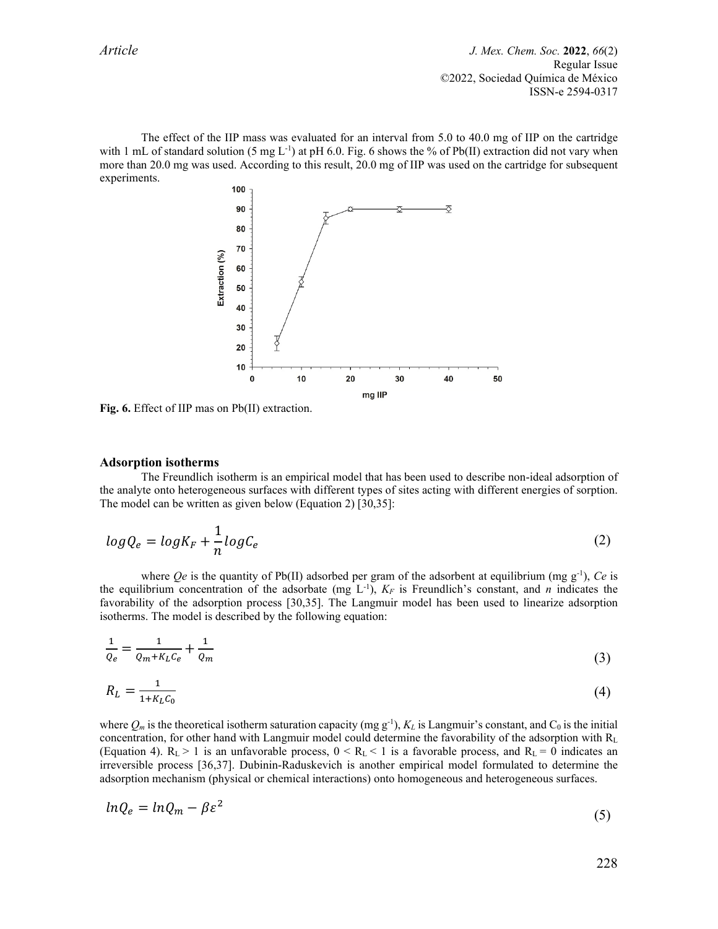The effect of the IIP mass was evaluated for an interval from 5.0 to 40.0 mg of IIP on the cartridge with 1 mL of standard solution (5 mg L<sup>-1</sup>) at pH 6.0. Fig. 6 shows the % of Pb(II) extraction did not vary when more than 20.0 mg was used. According to this result, 20.0 mg of IIP was used on the cartridge for subsequent experiments.



**Fig. 6.** Effect of IIP mas on Pb(II) extraction.

#### **Adsorption isotherms**

The Freundlich isotherm is an empirical model that has been used to describe non-ideal adsorption of the analyte onto heterogeneous surfaces with different types of sites acting with different energies of sorption. The model can be written as given below (Equation 2) [30,35]:

$$
logQ_e = logK_F + \frac{1}{n} logC_e
$$
 (2)

where  $Qe$  is the quantity of Pb(II) adsorbed per gram of the adsorbent at equilibrium (mg g<sup>-1</sup>), *Ce* is the equilibrium concentration of the adsorbate (mg  $L^{-1}$ ),  $K_F$  is Freundlich's constant, and *n* indicates the favorability of the adsorption process [30,35]. The Langmuir model has been used to linearize adsorption isotherms. The model is described by the following equation:

$$
\frac{1}{Q_e} = \frac{1}{Q_m + K_L C_e} + \frac{1}{Q_m} \tag{3}
$$

$$
R_L = \frac{1}{1 + K_L C_0} \tag{4}
$$

where  $Q_m$  is the theoretical isotherm saturation capacity (mg g<sup>-1</sup>),  $K_L$  is Langmuir's constant, and  $C_0$  is the initial concentration, for other hand with Langmuir model could determine the favorability of the adsorption with  $R_L$ (Equation 4).  $R_L > 1$  is an unfavorable process,  $0 \le R_L \le 1$  is a favorable process, and  $R_L = 0$  indicates an irreversible process [36,37]. Dubinin-Raduskevich is another empirical model formulated to determine the adsorption mechanism (physical or chemical interactions) onto homogeneous and heterogeneous surfaces.

$$
ln Q_e = ln Q_m - \beta \varepsilon^2 \tag{5}
$$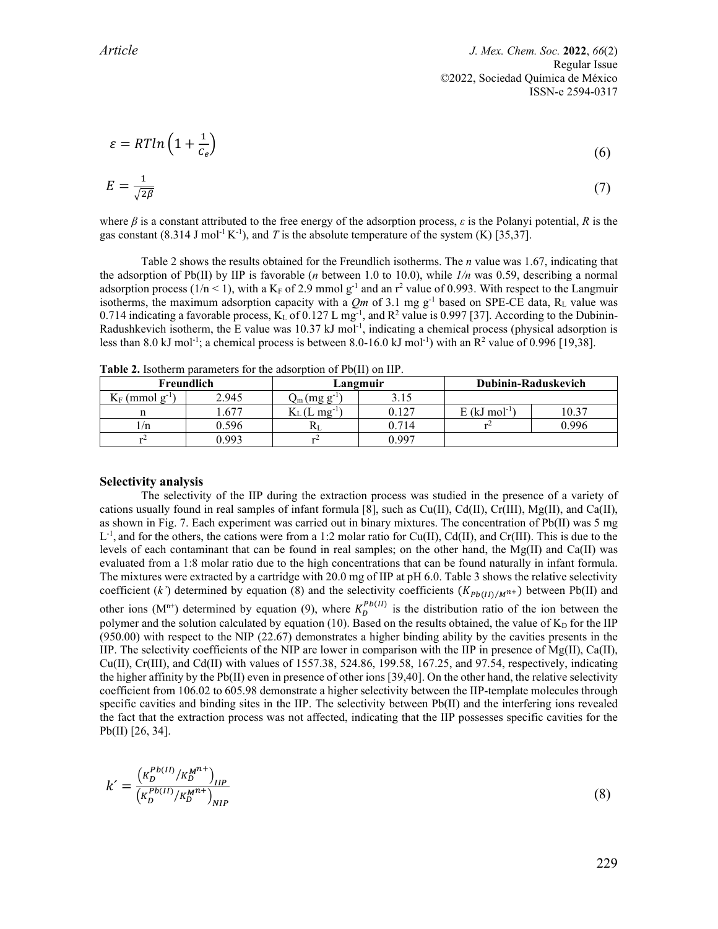$$
\varepsilon = RTln\left(1 + \frac{1}{c_e}\right) \tag{6}
$$

$$
E = \frac{1}{\sqrt{2\beta}}\tag{7}
$$

where *β* is a constant attributed to the free energy of the adsorption process, *ε* is the Polanyi potential, *R* is the gas constant  $(8.314 \text{ J mol}^{-1} \text{K}^{-1})$ , and *T* is the absolute temperature of the system (K) [35,37].

Table 2 shows the results obtained for the Freundlich isotherms. The *n* value was 1.67, indicating that the adsorption of Pb(II) by IIP is favorable (*n* between 1.0 to 10.0), while *1/n* was 0.59, describing a normal adsorption process ( $1/n < 1$ ), with a K<sub>F</sub> of 2.9 mmol g<sup>-1</sup> and an r<sup>2</sup> value of 0.993. With respect to the Langmuir isotherms, the maximum adsorption capacity with a  $Qm$  of 3.1 mg g<sup>-1</sup> based on SPE-CE data, R<sub>L</sub> value was 0.714 indicating a favorable process,  $K_L$  of 0.127 L mg<sup>-1</sup>, and  $R^2$  value is 0.997 [37]. According to the Dubinin-Radushkevich isotherm, the E value was  $10.37 \text{ kJ}$  mol<sup>-1</sup>, indicating a chemical process (physical adsorption is less than 8.0 kJ mol<sup>-1</sup>; a chemical process is between 8.0-16.0 kJ mol<sup>-1</sup>) with an  $\mathbb{R}^2$  value of 0.996 [19,38].

| Freundlich             |       | Langmuir         |       | Dubinin-Raduskevich         |       |  |
|------------------------|-------|------------------|-------|-----------------------------|-------|--|
| $K_F$ (mmol $g^{-1}$ ) | 2.945 | $Q_m(mg g^{-1})$ | 3.15  |                             |       |  |
|                        | .677  | $me^{-1}$        | 0.127 | $E$ (kJ mol <sup>-1</sup> ) | 10.37 |  |
| 1/n                    | 0.596 |                  | 0.714 |                             | ) 996 |  |
| $+2$                   | 0.99? |                  | ი 997 |                             |       |  |

**Table 2.** Isotherm parameters for the adsorption of Pb(II) on IIP.

#### **Selectivity analysis**

The selectivity of the IIP during the extraction process was studied in the presence of a variety of cations usually found in real samples of infant formula [8], such as  $Cu(II)$ ,  $Cd(II)$ ,  $Cr(III)$ ,  $Mg(II)$ , and  $Ca(II)$ , as shown in Fig. 7. Each experiment was carried out in binary mixtures. The concentration of Pb(II) was 5 mg  $L^{-1}$ , and for the others, the cations were from a 1:2 molar ratio for Cu(II), Cd(II), and Cr(III). This is due to the levels of each contaminant that can be found in real samples; on the other hand, the Mg(II) and Ca(II) was evaluated from a 1:8 molar ratio due to the high concentrations that can be found naturally in infant formula. The mixtures were extracted by a cartridge with 20.0 mg of IIP at pH 6.0. Table 3 shows the relative selectivity coefficient (*k'*) determined by equation (8) and the selectivity coefficients ( $K_{Pb(II)/M^{n+}}$ ) between Pb(II) and other ions  $(M^{n+})$  determined by equation (9), where  $K_D^{Pb(II)}$  is the distribution ratio of the ion between the polymer and the solution calculated by equation (10). Based on the results obtained, the value of  $K_D$  for the IIP (950.00) with respect to the NIP (22.67) demonstrates a higher binding ability by the cavities presents in the IIP. The selectivity coefficients of the NIP are lower in comparison with the IIP in presence of  $Mg(II)$ , Ca(II),  $Cu(II)$ ,  $Cr(III)$ , and  $Cd(II)$  with values of 1557.38, 524.86, 199.58, 167.25, and 97.54, respectively, indicating the higher affinity by the Pb(II) even in presence of other ions [39,40]. On the other hand, the relative selectivity coefficient from 106.02 to 605.98 demonstrate a higher selectivity between the IIP-template molecules through specific cavities and binding sites in the IIP. The selectivity between Pb(II) and the interfering ions revealed the fact that the extraction process was not affected, indicating that the IIP possesses specific cavities for the Pb(II) [26, 34].

$$
k' = \frac{\left(\kappa_D^{Pb(II)}/\kappa_D^{M^{n+}}\right)_{IIP}}{\left(\kappa_D^{Pb(II)}/\kappa_D^{M^{n+}}\right)_{NIP}}\tag{8}
$$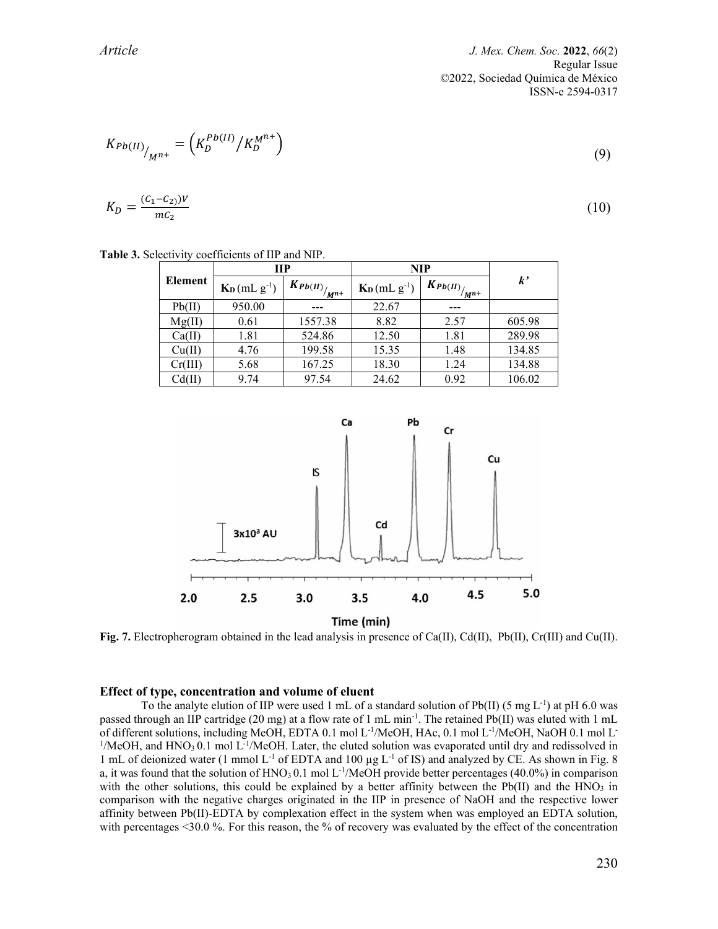*Article J. Mex. Chem. Soc.* **2022**, *66*(2) Regular Issue ©2022, Sociedad Química de México ISSN-e 2594-0317

$$
K_{Pb(II)}_{/M^{n+}} = (K_D^{Pb(II)}/K_D^{M^{n+}})
$$
\n(9)

$$
K_D = \frac{(c_1 - c_2)V}{mc_2} \tag{10}
$$

**Table 3.** Selectivity coefficients of IIP and NIP.

|         | <b>IIP</b>                               |              | <b>NIP</b>                                     |                              |                   |
|---------|------------------------------------------|--------------|------------------------------------------------|------------------------------|-------------------|
| Element | $\mathbf{K}_{\mathbf{D}}$ (mL $g^{-1}$ ) | $K_{Pb(II)}$ | $\mathbf{K}_{\mathbf{D}}(mL\ \mathrm{g}^{-1})$ | $K_{Pb(II)_{f}}$<br>$\mu$ m+ | $\boldsymbol{k'}$ |
| Pb(II)  | 950.00                                   |              | 22.67                                          |                              |                   |
| Mg(II)  | 0.61                                     | 1557.38      | 8.82                                           | 2.57                         | 605.98            |
| Ca(II)  | 1.81                                     | 524.86       | 12.50                                          | 1.81                         | 289.98            |
| Cu(II)  | 4.76                                     | 199.58       | 15.35                                          | 1.48                         | 134.85            |
| Cr(III) | 5.68                                     | 167.25       | 18.30                                          | 1.24                         | 134.88            |
| Cd(II)  | 9.74                                     | 97.54        | 24.62                                          | 0.92                         | 106.02            |



**Fig. 7.** Electropherogram obtained in the lead analysis in presence of Ca(II), Cd(II), Pb(II), Cr(III) and Cu(II).

### **Effect of type, concentration and volume of eluent**

To the analyte elution of IIP were used 1 mL of a standard solution of  $Pb(II)$  (5 mg L<sup>-1</sup>) at pH 6.0 was passed through an IIP cartridge (20 mg) at a flow rate of 1 mL min<sup>-1</sup>. The retained Pb(II) was eluted with 1 mL of different solutions, including MeOH, EDTA 0.1 mol L<sup>-1</sup>/MeOH, HAc, 0.1 mol L<sup>-1</sup>/MeOH, NaOH 0.1 mol L<sup>-</sup>  $1/MeOH$ , and  $HNO<sub>3</sub> 0.1$  mol L<sup>-1</sup>/MeOH. Later, the eluted solution was evaporated until dry and redissolved in 1 mL of deionized water (1 mmol L<sup>-1</sup> of EDTA and 100  $\mu$ g L<sup>-1</sup> of IS) and analyzed by CE. As shown in Fig. 8 a, it was found that the solution of  $HNO<sub>3</sub> 0.1$  mol L<sup>-1</sup>/MeOH provide better percentages (40.0%) in comparison with the other solutions, this could be explained by a better affinity between the  $Pb(II)$  and the  $HNO<sub>3</sub>$  in comparison with the negative charges originated in the IIP in presence of NaOH and the respective lower affinity between Pb(II)-EDTA by complexation effect in the system when was employed an EDTA solution, with percentages <30.0 %. For this reason, the % of recovery was evaluated by the effect of the concentration

$$
(9)
$$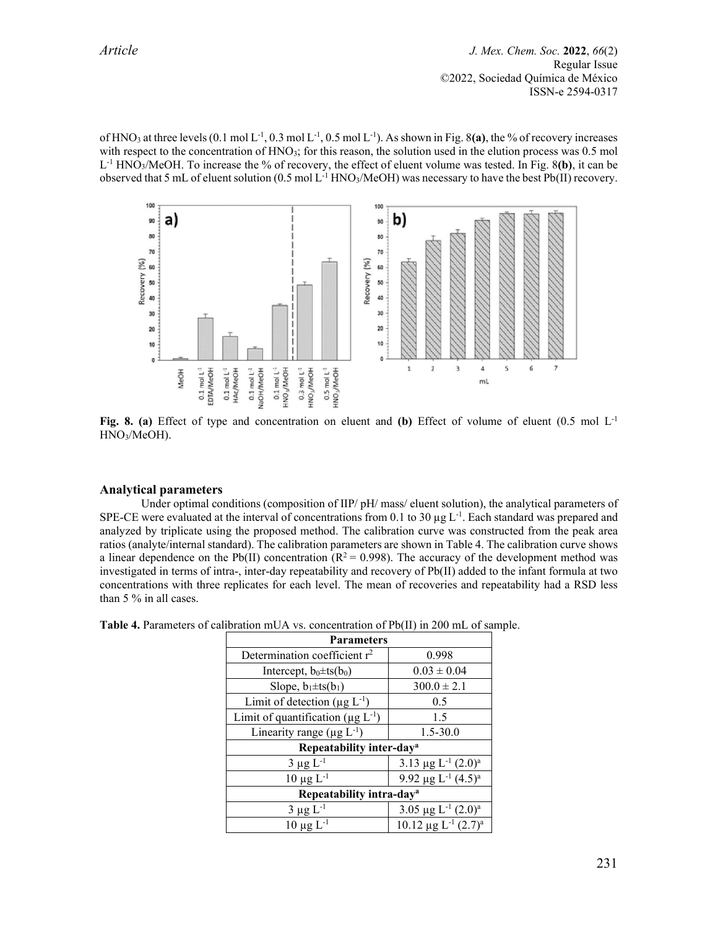of HNO<sub>3</sub> at three levels  $(0.1 \text{ mol L}^{-1}, 0.3 \text{ mol L}^{-1}, 0.5 \text{ mol L}^{-1})$ . As shown in Fig.  $8(a)$ , the % of recovery increases with respect to the concentration of HNO<sub>3</sub>; for this reason, the solution used in the elution process was 0.5 mol L-1 HNO3/MeOH. To increase the % of recovery, the effect of eluent volume was tested. In Fig. 8**(b)**, it can be observed that 5 mL of eluent solution (0.5 mol L<sup>-1</sup> HNO<sub>3</sub>/MeOH) was necessary to have the best Pb(II) recovery.



**Fig. 8. (a)** Effect of type and concentration on eluent and **(b)** Effect of volume of eluent (0.5 mol L-1 HNO3/MeOH).

#### **Analytical parameters**

Under optimal conditions (composition of IIP/ pH/ mass/ eluent solution), the analytical parameters of SPE-CE were evaluated at the interval of concentrations from 0.1 to 30  $\mu$ g L<sup>-1</sup>. Each standard was prepared and analyzed by triplicate using the proposed method. The calibration curve was constructed from the peak area ratios (analyte/internal standard). The calibration parameters are shown in Table 4. The calibration curve shows a linear dependence on the Pb(II) concentration ( $R^2 = 0.998$ ). The accuracy of the development method was investigated in terms of intra-, inter-day repeatability and recovery of Pb(II) added to the infant formula at two concentrations with three replicates for each level. The mean of recoveries and repeatability had a RSD less than 5 % in all cases.

| <b>Parameters</b>                                   |                                     |  |  |  |
|-----------------------------------------------------|-------------------------------------|--|--|--|
| Determination coefficient $r^2$                     | 0.998                               |  |  |  |
| Intercept, $b_0 \pm ts(b_0)$                        | $0.03 \pm 0.04$                     |  |  |  |
| Slope, $b_1 \pm ts(b_1)$                            | $300.0 \pm 2.1$                     |  |  |  |
| Limit of detection ( $\mu$ g L <sup>-1</sup> )      | 0.5                                 |  |  |  |
| Limit of quantification ( $\mu$ g L <sup>-1</sup> ) | 1.5                                 |  |  |  |
| Linearity range ( $\mu$ g L <sup>-1</sup> )         | $1.5 - 30.0$                        |  |  |  |
| Repeatability inter-day <sup>a</sup>                |                                     |  |  |  |
| $3 \mu g L^{-1}$                                    | 3.13 µg $L^{-1}$ (2.0) <sup>a</sup> |  |  |  |
| $10 \mu g L^{-1}$                                   | 9.92 µg $L^{-1}$ (4.5) <sup>a</sup> |  |  |  |
| Repeatability intra-day <sup>a</sup>                |                                     |  |  |  |
| $3 \mu g L^{-1}$                                    | 3.05 µg $L^{-1}$ (2.0) <sup>a</sup> |  |  |  |
| $10 \mu g L^{-1}$                                   | $10.12 \mu g L^{-1} (2.7)^a$        |  |  |  |

**Table 4.** Parameters of calibration mUA vs. concentration of Pb(II) in 200 mL of sample.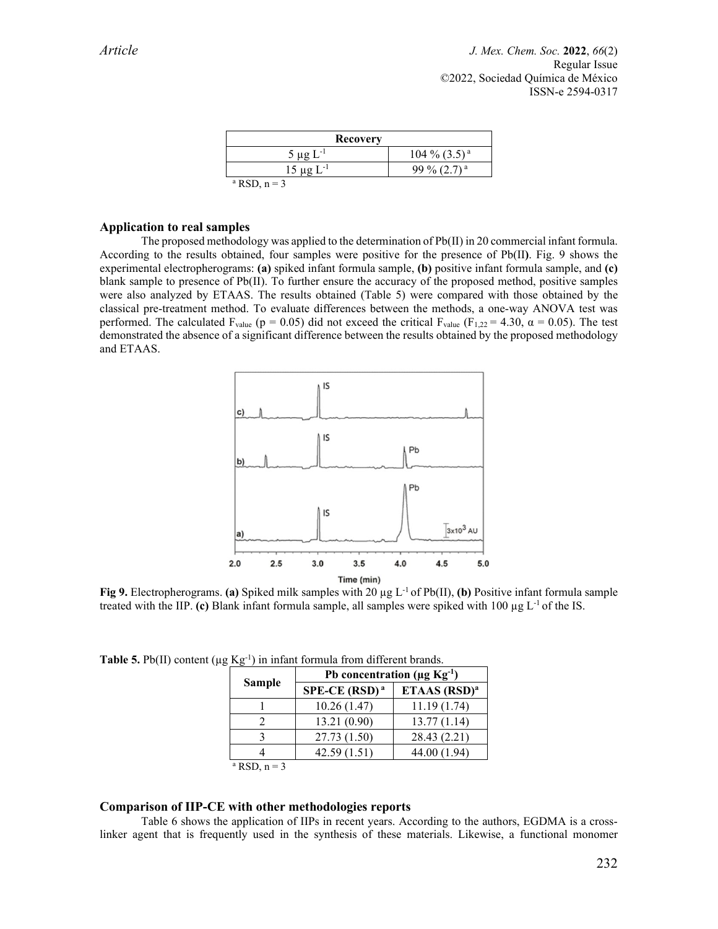| <b>Recovery</b>           |                            |  |  |
|---------------------------|----------------------------|--|--|
| 5 µg $L^{-1}$             | $104\%$ (3.5) <sup>a</sup> |  |  |
| $15 \mu g L^{-1}$         | 99 % $(2.7)^{a}$           |  |  |
| <sup>a</sup> RSD, $n = 3$ |                            |  |  |

#### **Application to real samples**

The proposed methodology was applied to the determination of Pb(II) in 20 commercial infant formula. According to the results obtained, four samples were positive for the presence of Pb(II**)**. Fig. 9 shows the experimental electropherograms: **(a)** spiked infant formula sample, **(b)** positive infant formula sample, and **(c)** blank sample to presence of Pb(II). To further ensure the accuracy of the proposed method, positive samples were also analyzed by ETAAS. The results obtained (Table 5) were compared with those obtained by the classical pre-treatment method. To evaluate differences between the methods, a one-way ANOVA test was performed. The calculated  $F_{value}$  (p = 0.05) did not exceed the critical  $F_{value}$  ( $F_{1,22}$  = 4.30,  $\alpha$  = 0.05). The test demonstrated the absence of a significant difference between the results obtained by the proposed methodology and ETAAS.



**Fig 9.** Electropherograms. **(a)** Spiked milk samples with 20 µg L-1 of Pb(II), **(b)** Positive infant formula sample treated with the IIP. **(c)** Blank infant formula sample, all samples were spiked with 100  $\mu$ g L<sup>-1</sup> of the IS.

|                  | Pb concentration ( $\mu$ g Kg <sup>-1</sup> ) |                 |  |  |
|------------------|-----------------------------------------------|-----------------|--|--|
| Sample           | $SPE-CE (RSD)a$                               | ETAAS $(RSD)^a$ |  |  |
|                  | 10.26(1.47)                                   | 11.19(1.74)     |  |  |
|                  | 13.21 (0.90)                                  | 13.77(1.14)     |  |  |
|                  | 27.73 (1.50)                                  | 28.43 (2.21)    |  |  |
|                  | 42.59(1.51)                                   | 44.00 (1.94)    |  |  |
| $a$ RSD, $n = 3$ |                                               |                 |  |  |

**Table 5.** Pb(II) content ( $\mu$ g  $Kg^{-1}$ ) in infant formula from different brands.

#### **Comparison of IIP-CE with other methodologies reports**

Table 6 shows the application of IIPs in recent years. According to the authors, EGDMA is a crosslinker agent that is frequently used in the synthesis of these materials. Likewise, a functional monomer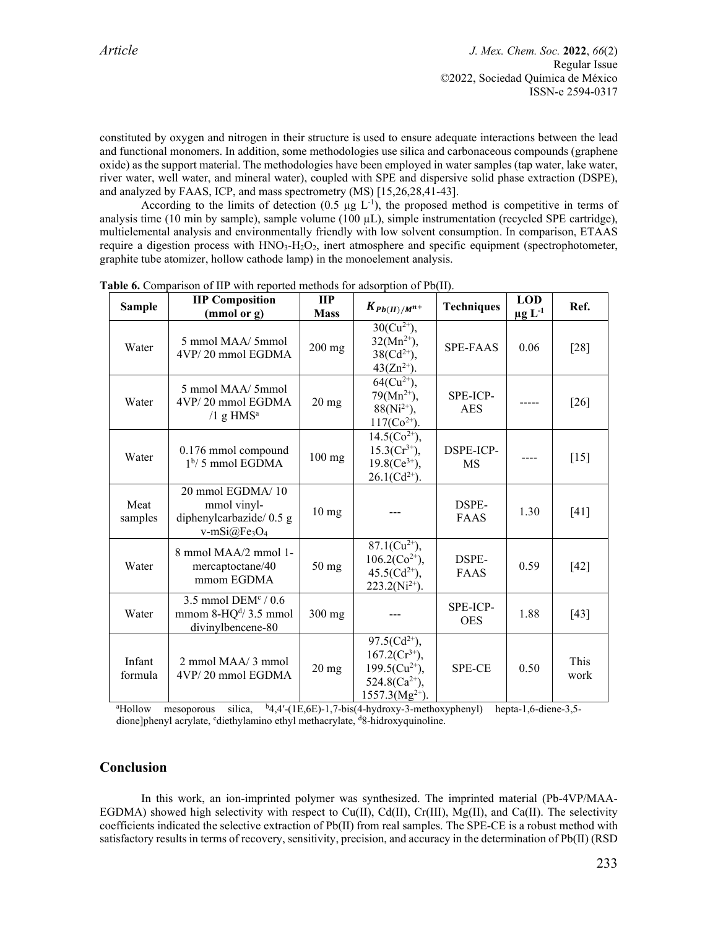constituted by oxygen and nitrogen in their structure is used to ensure adequate interactions between the lead and functional monomers. In addition, some methodologies use silica and carbonaceous compounds (graphene oxide) as the support material. The methodologies have been employed in water samples (tap water, lake water, river water, well water, and mineral water), coupled with SPE and dispersive solid phase extraction (DSPE), and analyzed by FAAS, ICP, and mass spectrometry (MS) [15,26,28,41-43].

According to the limits of detection (0.5  $\mu$ g L<sup>-1</sup>), the proposed method is competitive in terms of analysis time (10 min by sample), sample volume (100 µL), simple instrumentation (recycled SPE cartridge), multielemental analysis and environmentally friendly with low solvent consumption. In comparison, ETAAS require a digestion process with HNO<sub>3</sub>-H<sub>2</sub>O<sub>2</sub>, inert atmosphere and specific equipment (spectrophotometer, graphite tube atomizer, hollow cathode lamp) in the monoelement analysis.

| <b>Sample</b>     | <b>IIP Composition</b><br>(mmol or g)                                              | $\mathbf{H}$<br><b>Mass</b> | $K_{Pb(II)/M^{n+}}$                                                                                           | <b>Techniques</b>      | <b>LOD</b><br>$\mu$ g L <sup>-1</sup> | Ref.         |
|-------------------|------------------------------------------------------------------------------------|-----------------------------|---------------------------------------------------------------------------------------------------------------|------------------------|---------------------------------------|--------------|
| Water             | 5 mmol MAA/ 5mmol<br>4VP/20 mmol EGDMA                                             | $200$ mg                    | $30(Cu^{2+}),$<br>$32(Mn^{2+}),$<br>$38(Cd^{2+}),$<br>$43(Zn^{2+})$ .                                         | <b>SPE-FAAS</b>        | 0.06                                  | $[28]$       |
| Water             | 5 mmol MAA/ 5 mmol<br>4VP/20 mmol EGDMA<br>$/1$ g HMS <sup>a</sup>                 | $20 \text{ mg}$             | $64(Cu^{2+}),$<br>$79(Mn^{2+}),$<br>$88(Ni^{2+}),$<br>$117(Co^{2+})$ .                                        | SPE-ICP-<br><b>AES</b> |                                       | $[26]$       |
| Water             | 0.176 mmol compound<br>$1b$ / 5 mmol EGDMA                                         | $100$ mg                    | $14.5(Co^{2+}),$<br>$15.3(Cr^{3+}),$<br>$19.8(Ce^{3+}),$<br>$26.1(Cd^{2+})$ .                                 | DSPE-ICP-<br>MS        |                                       | $[15]$       |
| Meat<br>samples   | 20 mmol EGDMA/10<br>mmol vinyl-<br>diphenylcarbazide/0.5 g<br>$v\text{-}mSi@Fe3O4$ | $10 \text{ mg}$             |                                                                                                               | DSPE-<br><b>FAAS</b>   | 1.30                                  | $[41]$       |
| Water             | 8 mmol MAA/2 mmol 1-<br>mercaptoctane/40<br>mmom EGDMA                             | $50$ mg                     | $87.1$ (Cu <sup>2+</sup> ),<br>$106.2(Co2+),$<br>$45.5(Cd^{2+}),$<br>$223.2(Ni^{2+})$ .                       | DSPE-<br>FAAS          | 0.59                                  | $[42]$       |
| Water             | 3.5 mmol DEM $\text{°}$ / 0.6<br>mmom $8-HQd/3.5$ mmol<br>divinylbencene-80        | $300$ mg                    |                                                                                                               | SPE-ICP-<br><b>OES</b> | 1.88                                  | $[43]$       |
| Infant<br>formula | 2 mmol MAA/ 3 mmol<br>4VP/20 mmol EGDMA                                            | $20 \text{ mg}$             | $97.5(Cd^{2+}),$<br>$167.2(\text{Cr}^{3+}),$<br>199.5 $(Cu^{2+}),$<br>$524.8(Ca^{2+}),$<br>$1557.3(Mg^{2+}).$ | <b>SPE-CE</b>          | 0.50                                  | This<br>work |

**Table 6.** Comparison of IIP with reported methods for adsorption of Pb(II).

aHollow mesoporous silica,  $\frac{b4,4)-(1E,6E)-1,7-bis(4-hydroxy-3-methoxyphenyl)}{hepta-1,6-diene-3,5-diene-3,5-diened}$ dione]phenyl acrylate, 'diethylamino ethyl methacrylate, <sup>d</sup>8-hidroxyquinoline.

# **Conclusion**

In this work, an ion-imprinted polymer was synthesized. The imprinted material (Pb-4VP/MAA-EGDMA) showed high selectivity with respect to Cu(II), Cd(II), Cr(III), Mg(II), and Ca(II). The selectivity coefficients indicated the selective extraction of Pb(II) from real samples. The SPE-CE is a robust method with satisfactory results in terms of recovery, sensitivity, precision, and accuracy in the determination of Pb(II) (RSD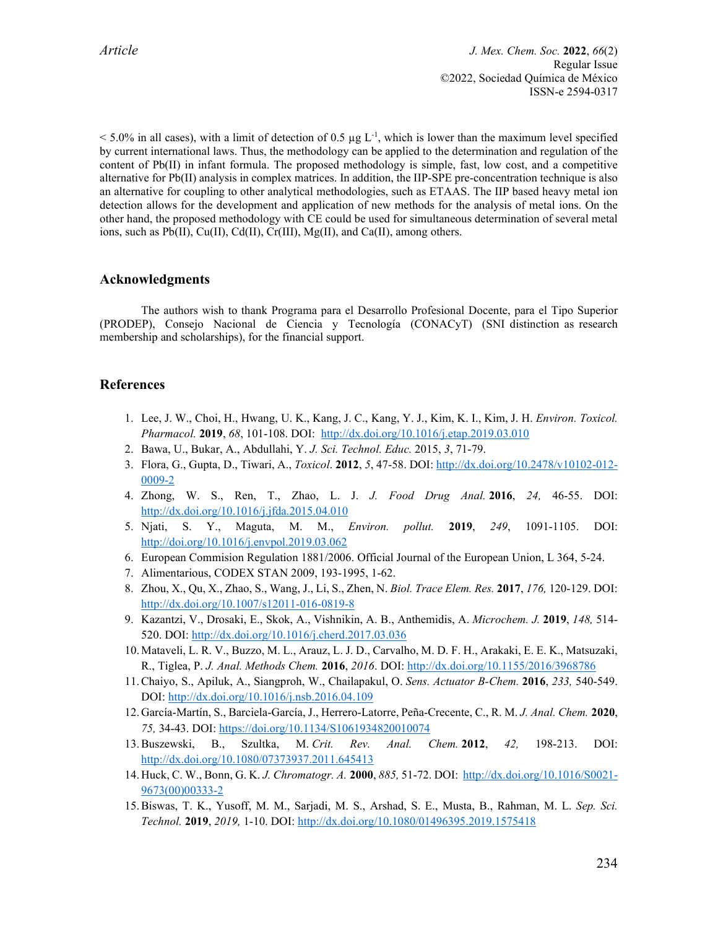$<$  5.0% in all cases), with a limit of detection of 0.5  $\mu$ g L<sup>-1</sup>, which is lower than the maximum level specified by current international laws. Thus, the methodology can be applied to the determination and regulation of the content of Pb(II) in infant formula. The proposed methodology is simple, fast, low cost, and a competitive alternative for Pb(II) analysis in complex matrices. In addition, the IIP-SPE pre-concentration technique is also an alternative for coupling to other analytical methodologies, such as ETAAS. The IIP based heavy metal ion detection allows for the development and application of new methods for the analysis of metal ions. On the other hand, the proposed methodology with CE could be used for simultaneous determination of several metal ions, such as Pb(II), Cu(II), Cd(II), Cr(III), Mg(II), and Ca(II), among others.

### **Acknowledgments**

The authors wish to thank Programa para el Desarrollo Profesional Docente, para el Tipo Superior (PRODEP), Consejo Nacional de Ciencia y Tecnología (CONACyT) (SNI distinction as research membership and scholarships), for the financial support.

# **References**

- 1. Lee, J. W., Choi, H., Hwang, U. K., Kang, J. C., Kang, Y. J., Kim, K. I., Kim, J. H. *Environ. Toxicol. Pharmacol.* **2019**, *68*, 101-108. DOI: <http://dx.doi.org/10.1016/j.etap.2019.03.010>
- 2. Bawa, U., Bukar, A., Abdullahi, Y. *J. Sci. Technol. Educ.* 2015, *3*, 71-79.
- 3. Flora, G., Gupta, D., Tiwari, A., *Toxicol*. **2012**, *5*, 47-58. DOI: [http://dx.doi.org/10.2478/v10102-012-](http://dx.doi.org/10.2478/v10102-012-0009-2) [0009-2](http://dx.doi.org/10.2478/v10102-012-0009-2)
- 4. Zhong, W. S., Ren, T., Zhao, L. J. *J. Food Drug Anal.* **2016**, *24,* 46-55. DOI: <http://dx.doi.org/10.1016/j.jfda.2015.04.010>
- 5. Njati, S. Y., Maguta, M. M., *Environ. pollut.* **2019**, *249*, 1091-1105. DOI: <http://doi.org/10.1016/j.envpol.2019.03.062>
- 6. European Commision Regulation 1881/2006. Official Journal of the European Union, L 364, 5-24.
- 7. Alimentarious, CODEX STAN 2009, 193-1995, 1-62.
- 8. Zhou, X., Qu, X., Zhao, S., Wang, J., Li, S., Zhen, N. *Biol. Trace Elem. Res.* **2017**, *176,* 120-129. DOI: <http://dx.doi.org/10.1007/s12011-016-0819-8>
- 9. Kazantzi, V., Drosaki, E., Skok, A., Vishnikin, A. B., Anthemidis, A. *Microchem. J.* **2019**, *148,* 514- 520. DOI[: http://dx.doi.org/10.1016/j.cherd.2017.03.036](http://dx.doi.org/10.1016/j.cherd.2017.03.036)
- 10.Mataveli, L. R. V., Buzzo, M. L., Arauz, L. J. D., Carvalho, M. D. F. H., Arakaki, E. E. K., Matsuzaki, R., Tiglea, P. *J. Anal. Methods Chem.* **2016**, *2016*. DOI[: http://dx.doi.org/10.1155/2016/3968786](http://dx.doi.org/10.1155/2016/3968786)
- 11.Chaiyo, S., Apiluk, A., Siangproh, W., Chailapakul, O. *Sens. Actuator B-Chem.* **2016**, *233,* 540-549. DOI[: http://dx.doi.org/10.1016/j.nsb.2016.04.109](http://dx.doi.org/10.1016/j.nsb.2016.04.109)
- 12. García-Martín, S., Barciela-García, J., Herrero-Latorre, Peña-Crecente, C., R. M. *J. Anal. Chem.* **2020**, *75,* 34-43. DOI:<https://doi.org/10.1134/S1061934820010074>
- 13.Buszewski, B., Szultka, M. *Crit. Rev. Anal. Chem.* **2012**, *42,* 198-213. DOI: <http://dx.doi.org/10.1080/07373937.2011.645413>
- 14. Huck, C. W., Bonn, G. K. *J. Chromatogr. A.* **2000**, *885,* 51-72. DOI: [http://dx.doi.org/10.1016/S0021-](http://dx.doi.org/10.1016/S0021-9673(00)00333-2) [9673\(00\)00333-2](http://dx.doi.org/10.1016/S0021-9673(00)00333-2)
- 15.Biswas, T. K., Yusoff, M. M., Sarjadi, M. S., Arshad, S. E., Musta, B., Rahman, M. L. *Sep. Sci. Technol.* **2019**, *2019,* 1-10. DOI:<http://dx.doi.org/10.1080/01496395.2019.1575418>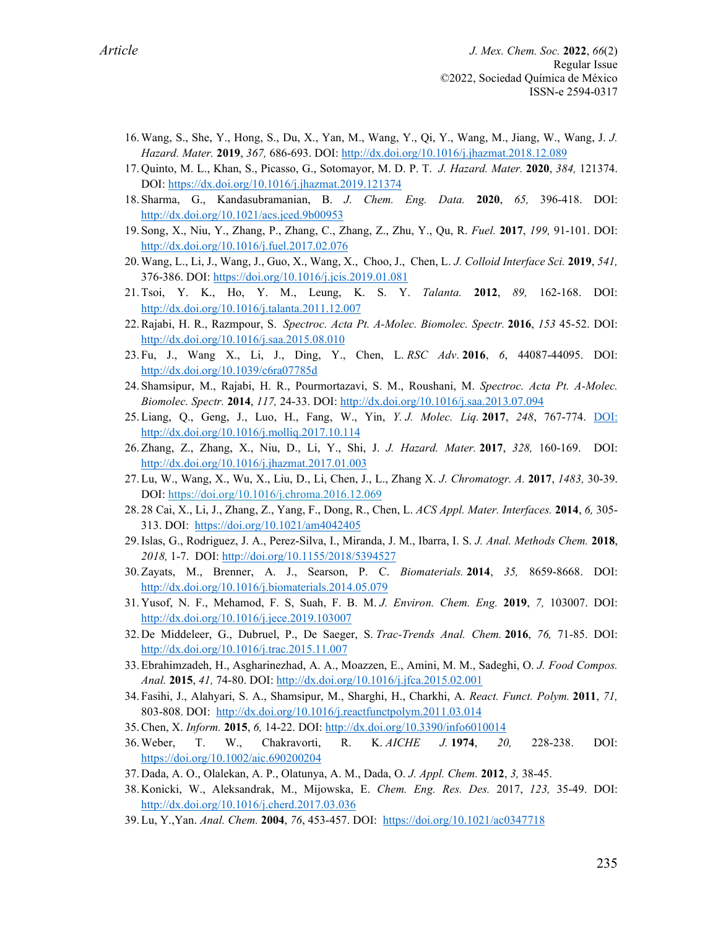- 16.Wang, S., She, Y., Hong, S., Du, X., Yan, M., Wang, Y., Qi, Y., Wang, M., Jiang, W., Wang, J. *J. Hazard. Mater.* **2019**, *367,* 686-693. DOI:<http://dx.doi.org/10.1016/j.jhazmat.2018.12.089>
- 17. Quinto, M. L., Khan, S., Picasso, G., Sotomayor, M. D. P. T. *J. Hazard. Mater.* **2020**, *384,* 121374. DOI[: https://dx.doi.org/10.1016/j.jhazmat.2019.121374](https://dx.doi.org/10.1016/j.jhazmat.2019.121374)
- 18. Sharma, G., Kandasubramanian, B. *J. Chem. Eng. Data.* **2020**, *65,* 396-418. DOI: <http://dx.doi.org/10.1021/acs.jced.9b00953>
- 19. Song, X., Niu, Y., Zhang, P., Zhang, C., Zhang, Z., Zhu, Y., Qu, R. *Fuel.* **2017**, *199,* 91-101. DOI: <http://dx.doi.org/10.1016/j.fuel.2017.02.076>
- 20.Wang, L., Li, J., Wang, J., Guo, X., Wang, X., Choo, J., Chen, L. *J. Colloid Interface Sci.* **2019**, *541,* 376-386. DOI:<https://doi.org/10.1016/j.jcis.2019.01.081>
- 21.Tsoi, Y. K., Ho, Y. M., Leung, K. S. Y. *Talanta.* **2012**, *89,* 162-168. DOI: <http://dx.doi.org/10.1016/j.talanta.2011.12.007>
- 22.Rajabi, H. R., Razmpour, S. *Spectroc. Acta Pt. A-Molec. Biomolec. Spectr.* **2016**, *153* 45-52. DOI: <http://dx.doi.org/10.1016/j.saa.2015.08.010>
- 23. Fu, J., Wang X., Li, J., Ding, Y., Chen, L. *RSC Adv*. **2016**, *6*, 44087-44095. DOI: <http://dx.doi.org/10.1039/c6ra07785d>
- 24. Shamsipur, M., Rajabi, H. R., Pourmortazavi, S. M., Roushani, M. *Spectroc. Acta Pt. A-Molec. Biomolec. Spectr.* **2014**, *117,* 24-33. DOI:<http://dx.doi.org/10.1016/j.saa.2013.07.094>
- 25.Liang, Q., Geng, J., Luo, H., Fang, W., Yin, *Y. J. Molec. Liq.* **2017**, *248*, 767-774. [DOI:](doi:%20http://dx.doi.org/10.1016/j.molliq.2017.10.114)  [http://dx.doi.org/10.1016/j.molliq.2017.10.114](doi:%20http://dx.doi.org/10.1016/j.molliq.2017.10.114)
- 26.Zhang, Z., Zhang, X., Niu, D., Li, Y., Shi, J. *J. Hazard. Mater.* **2017**, *328,* 160-169. DOI: <http://dx.doi.org/10.1016/j.jhazmat.2017.01.003>
- 27.Lu, W., Wang, X., Wu, X., Liu, D., Li, Chen, J., L., Zhang X. *J. Chromatogr. A.* **2017**, *1483,* 30-39. DOI[: https://doi.org/10.1016/j.chroma.2016.12.069](https://doi.org/10.1016/j.chroma.2016.12.069)
- 28. 28 Cai, X., Li, J., Zhang, Z., Yang, F., Dong, R., Chen, L. *ACS Appl. Mater. Interfaces.* **2014**, *6,* 305- 313. DOI: <https://doi.org/10.1021/am4042405>
- 29.Islas, G., Rodriguez, J. A., Perez-Silva, I., Miranda, J. M., Ibarra, I. S. *J. Anal. Methods Chem.* **2018**, *2018,* 1-7. DOI:<http://doi.org/10.1155/2018/5394527>
- 30.Zayats, M., Brenner, A. J., Searson, P. C. *Biomaterials.* **2014**, *35,* 8659-8668. DOI: <http://dx.doi.org/10.1016/j.biomaterials.2014.05.079>
- 31. Yusof, N. F., Mehamod, F. S, Suah, F. B. M. *J. Environ. Chem. Eng.* **2019**, *7,* 103007. DOI: <http://dx.doi.org/10.1016/j.jece.2019.103007>
- 32. De Middeleer, G., Dubruel, P., De Saeger, S. *Trac-Trends Anal. Chem.* **2016**, *76,* 71-85. DOI: <http://dx.doi.org/10.1016/j.trac.2015.11.007>
- 33.Ebrahimzadeh, H., Asgharinezhad, A. A., Moazzen, E., Amini, M. M., Sadeghi, O. *J. Food Compos. Anal.* **2015**, *41,* 74-80. DOI:<http://dx.doi.org/10.1016/j.jfca.2015.02.001>
- 34. Fasihi, J., Alahyari, S. A., Shamsipur, M., Sharghi, H., Charkhi, A. *React. Funct. Polym.* **2011**, *71,* 803-808. DOI: <http://dx.doi.org/10.1016/j.reactfunctpolym.2011.03.014>
- 35.Chen, X. *Inform.* **2015**, *6,* 14-22. DOI[: http://dx.doi.org/10.3390/info6010014](http://dx.doi.org/10.3390/info6010014)
- 36.Weber, T. W., Chakravorti, R. K. *AICHE J.* **1974**, *20,* 228-238. DOI: <https://doi.org/10.1002/aic.690200204>
- 37. Dada, A. O., Olalekan, A. P., Olatunya, A. M., Dada, O. *J. Appl. Chem.* **2012**, *3,* 38-45.
- 38. Konicki, W., Aleksandrak, M., Mijowska, E. *Chem. Eng. Res. Des.* 2017, *123,* 35-49. DOI: <http://dx.doi.org/10.1016/j.cherd.2017.03.036>
- 39.Lu, Y.,Yan. *Anal. Chem.* **2004**, *76*, 453-457. DOI:<https://doi.org/10.1021/ac0347718>